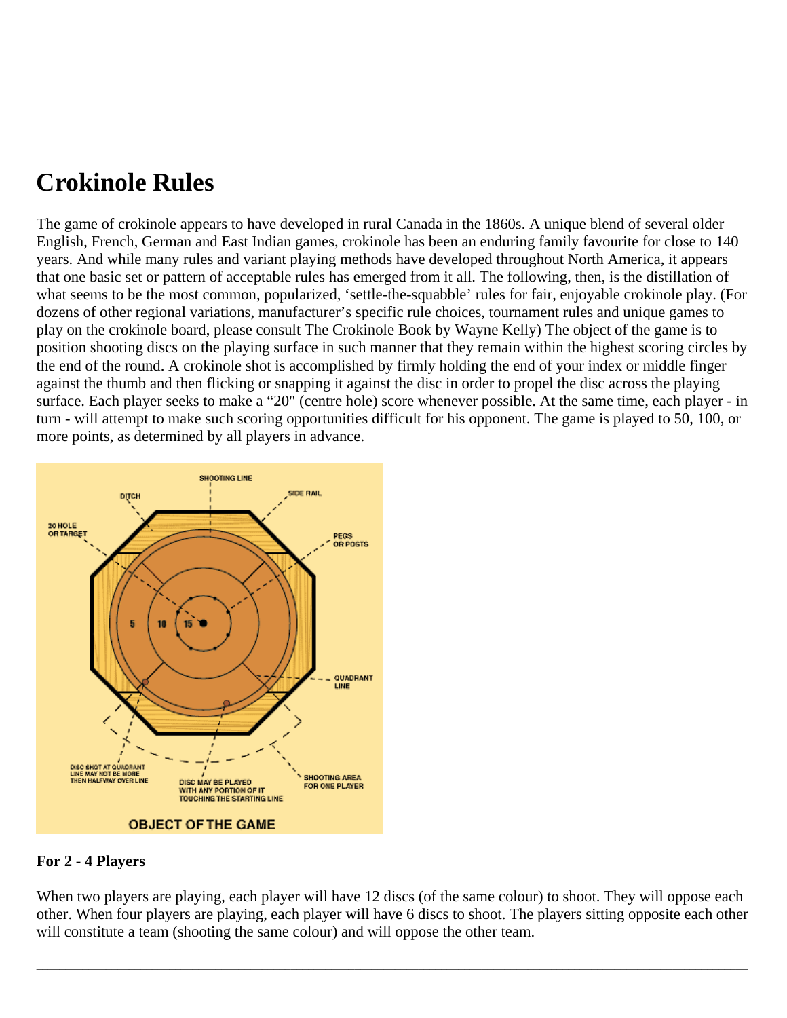## **Crokinole Rules**

The game of crokinole appears to have developed in rural Canada in the 1860s. A unique blend of several older English, French, German and East Indian games, crokinole has been an enduring family favourite for close to 140 years. And while many rules and variant playing methods have developed throughout North America, it appears that one basic set or pattern of acceptable rules has emerged from it all. The following, then, is the distillation of what seems to be the most common, popularized, 'settle-the-squabble' rules for fair, enjoyable crokinole play. (For dozens of other regional variations, manufacturer's specific rule choices, tournament rules and unique games to play on the crokinole board, please consult The Crokinole Book by Wayne Kelly) The object of the game is to position shooting discs on the playing surface in such manner that they remain within the highest scoring circles by the end of the round. A crokinole shot is accomplished by firmly holding the end of your index or middle finger against the thumb and then flicking or snapping it against the disc in order to propel the disc across the playing surface. Each player seeks to make a "20" (centre hole) score whenever possible. At the same time, each player - in turn - will attempt to make such scoring opportunities difficult for his opponent. The game is played to 50, 100, or more points, as determined by all players in advance.



## **For 2 - 4 Players**

When two players are playing, each player will have 12 discs (of the same colour) to shoot. They will oppose each other. When four players are playing, each player will have 6 discs to shoot. The players sitting opposite each other will constitute a team (shooting the same colour) and will oppose the other team.

 $\bot$  , and the set of the set of the set of the set of the set of the set of the set of the set of the set of the set of the set of the set of the set of the set of the set of the set of the set of the set of the set of t